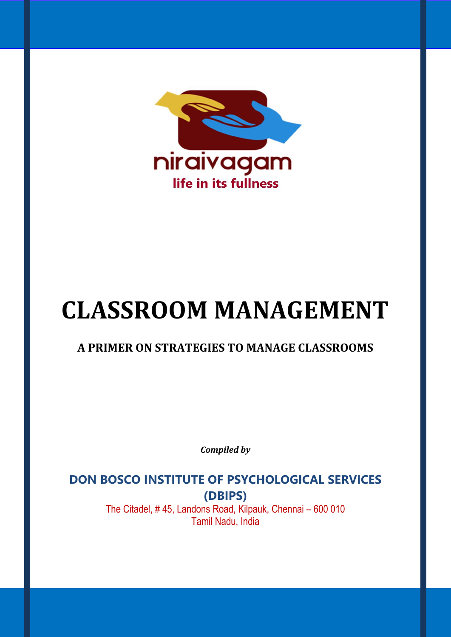

# **CLASSROOM MANAGEMENT**

# **A PRIMER ON STRATEGIES TO MANAGE CLASSROOMS**

*Compiled by*

**DON BOSCO INSTITUTE OF PSYCHOLOGICAL SERVICES (DBIPS)**  The Citadel, # 45, Landons Road, Kilpauk, Chennai – 600 010

Tamil Nadu, India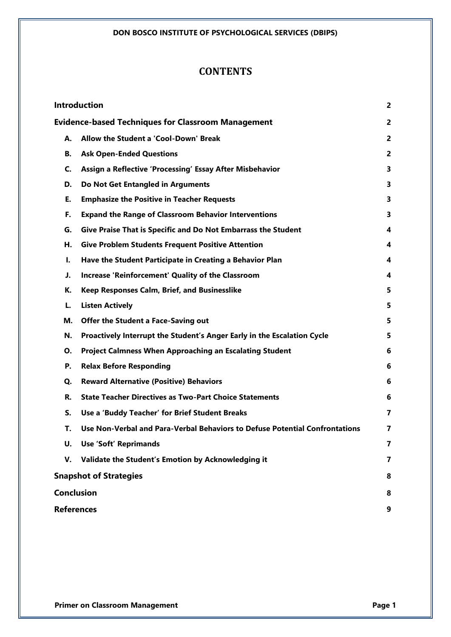# **CONTENTS**

|                                                           | <b>Introduction</b>                                                         | $\overline{2}$          |
|-----------------------------------------------------------|-----------------------------------------------------------------------------|-------------------------|
| <b>Evidence-based Techniques for Classroom Management</b> |                                                                             | $\overline{2}$          |
| А.                                                        | Allow the Student a 'Cool-Down' Break                                       | 2                       |
| В.                                                        | <b>Ask Open-Ended Questions</b>                                             | $\overline{2}$          |
| C.                                                        | Assign a Reflective 'Processing' Essay After Misbehavior                    | 3                       |
| D.                                                        | Do Not Get Entangled in Arguments                                           | 3                       |
| Е.                                                        | <b>Emphasize the Positive in Teacher Requests</b>                           | 3                       |
| F.                                                        | <b>Expand the Range of Classroom Behavior Interventions</b>                 | 3                       |
| G.                                                        | Give Praise That is Specific and Do Not Embarrass the Student               | 4                       |
| Н.                                                        | <b>Give Problem Students Frequent Positive Attention</b>                    | 4                       |
| ı.                                                        | Have the Student Participate in Creating a Behavior Plan                    | 4                       |
| J.                                                        | <b>Increase 'Reinforcement' Quality of the Classroom</b>                    | 4                       |
| К.                                                        | Keep Responses Calm, Brief, and Businesslike                                | 5                       |
| L.                                                        | <b>Listen Actively</b>                                                      | 5                       |
| М.                                                        | <b>Offer the Student a Face-Saving out</b>                                  | 5                       |
| N.                                                        | Proactively Interrupt the Student's Anger Early in the Escalation Cycle     | 5                       |
| О.                                                        | <b>Project Calmness When Approaching an Escalating Student</b>              | 6                       |
| Р.                                                        | <b>Relax Before Responding</b>                                              | 6                       |
| Q.                                                        | <b>Reward Alternative (Positive) Behaviors</b>                              | 6                       |
| R.                                                        | <b>State Teacher Directives as Two-Part Choice Statements</b>               | 6                       |
| S.                                                        | Use a 'Buddy Teacher' for Brief Student Breaks                              | $\overline{\mathbf{z}}$ |
| Т.                                                        | Use Non-Verbal and Para-Verbal Behaviors to Defuse Potential Confrontations | 7                       |
| U.                                                        | <b>Use 'Soft' Reprimands</b>                                                | 7                       |
| V.                                                        | Validate the Student's Emotion by Acknowledging it                          | 7                       |
|                                                           | <b>Snapshot of Strategies</b>                                               |                         |
|                                                           | <b>Conclusion</b>                                                           |                         |
| <b>References</b>                                         |                                                                             | 9                       |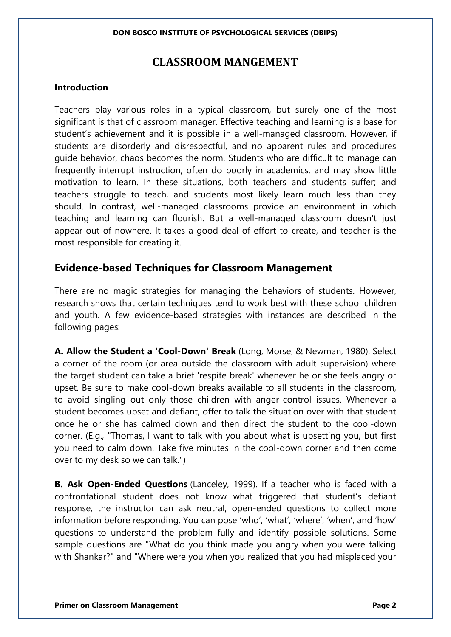# **CLASSROOM MANGEMENT**

### **Introduction**

Teachers play various roles in a typical classroom, but surely one of the most significant is that of classroom manager. Effective teaching and learning is a base for student's achievement and it is possible in a well-managed classroom. However, if students are disorderly and disrespectful, and no apparent rules and procedures guide behavior, chaos becomes the norm. Students who are difficult to manage can frequently interrupt instruction, often do poorly in academics, and may show little motivation to learn. In these situations, both teachers and students suffer; and teachers struggle to teach, and students most likely learn much less than they should. In contrast, well-managed classrooms provide an environment in which teaching and learning can flourish. But a well-managed classroom doesn't just appear out of nowhere. It takes a good deal of effort to create, and teacher is the most responsible for creating it.

# **Evidence-based Techniques for Classroom Management**

There are no magic strategies for managing the behaviors of students. However, research shows that certain techniques tend to work best with these school children and youth. A few evidence-based strategies with instances are described in the following pages:

**A. Allow the Student a 'Cool-Down' Break** (Long, Morse, & Newman, 1980). Select a corner of the room (or area outside the classroom with adult supervision) where the target student can take a brief 'respite break' whenever he or she feels angry or upset. Be sure to make cool-down breaks available to all students in the classroom, to avoid singling out only those children with anger-control issues. Whenever a student becomes upset and defiant, offer to talk the situation over with that student once he or she has calmed down and then direct the student to the cool-down corner. (E.g., "Thomas, I want to talk with you about what is upsetting you, but first you need to calm down. Take five minutes in the cool-down corner and then come over to my desk so we can talk.")

**B. Ask Open-Ended Questions** (Lanceley, 1999). If a teacher who is faced with a confrontational student does not know what triggered that student's defiant response, the instructor can ask neutral, open-ended questions to collect more information before responding. You can pose 'who', 'what', 'where', 'when', and 'how' questions to understand the problem fully and identify possible solutions. Some sample questions are "What do you think made you angry when you were talking with Shankar?" and "Where were you when you realized that you had misplaced your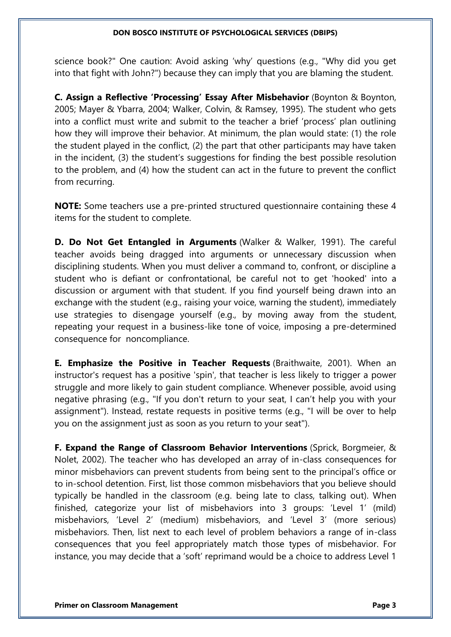science book?" One caution: Avoid asking 'why' questions (e.g., "Why did you get into that fight with John?") because they can imply that you are blaming the student.

**C. Assign a Reflective 'Processing' Essay After Misbehavior** (Boynton & Boynton, 2005; Mayer & Ybarra, 2004; Walker, Colvin, & Ramsey, 1995). The student who gets into a conflict must write and submit to the teacher a brief 'process' plan outlining how they will improve their behavior. At minimum, the plan would state: (1) the role the student played in the conflict, (2) the part that other participants may have taken in the incident, (3) the student's suggestions for finding the best possible resolution to the problem, and (4) how the student can act in the future to prevent the conflict from recurring.

**NOTE:** Some teachers use a pre-printed structured questionnaire containing these 4 items for the student to complete.

**D. Do Not Get Entangled in Arguments** (Walker & Walker, 1991). The careful teacher avoids being dragged into arguments or unnecessary discussion when disciplining students. When you must deliver a command to, confront, or discipline a student who is defiant or confrontational, be careful not to get 'hooked' into a discussion or argument with that student. If you find yourself being drawn into an exchange with the student (e.g., raising your voice, warning the student), immediately use strategies to disengage yourself (e.g., by moving away from the student, repeating your request in a business-like tone of voice, imposing a pre-determined consequence for noncompliance.

**E. Emphasize the Positive in Teacher Requests** (Braithwaite, 2001). When an instructor's request has a positive 'spin', that teacher is less likely to trigger a power struggle and more likely to gain student compliance. Whenever possible, avoid using negative phrasing (e.g., "If you don't return to your seat, I can't help you with your assignment"). Instead, restate requests in positive terms (e.g., "I will be over to help you on the assignment just as soon as you return to your seat").

**F. Expand the Range of Classroom Behavior Interventions** (Sprick, Borgmeier, & Nolet, 2002). The teacher who has developed an array of in-class consequences for minor misbehaviors can prevent students from being sent to the principal's office or to in-school detention. First, list those common misbehaviors that you believe should typically be handled in the classroom (e.g. being late to class, talking out). When finished, categorize your list of misbehaviors into 3 groups: 'Level 1' (mild) misbehaviors, 'Level 2' (medium) misbehaviors, and 'Level 3' (more serious) misbehaviors. Then, list next to each level of problem behaviors a range of in-class consequences that you feel appropriately match those types of misbehavior. For instance, you may decide that a 'soft' reprimand would be a choice to address Level 1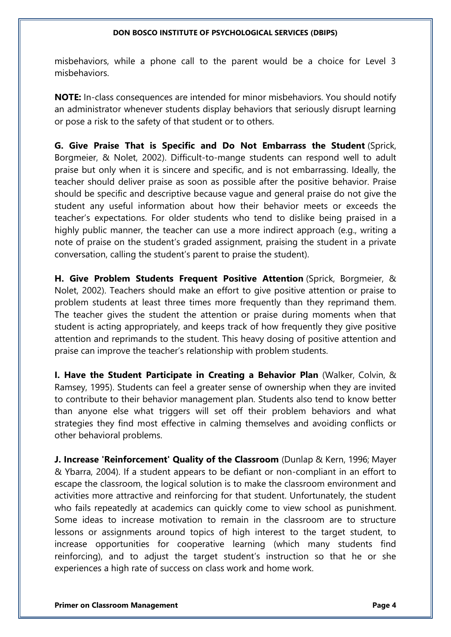misbehaviors, while a phone call to the parent would be a choice for Level 3 misbehaviors.

**NOTE:** In-class consequences are intended for minor misbehaviors. You should notify an administrator whenever students display behaviors that seriously disrupt learning or pose a risk to the safety of that student or to others.

**G. Give Praise That is Specific and Do Not Embarrass the Student** (Sprick, Borgmeier, & Nolet, 2002). Difficult-to-mange students can respond well to adult praise but only when it is sincere and specific, and is not embarrassing. Ideally, the teacher should deliver praise as soon as possible after the positive behavior. Praise should be specific and descriptive because vague and general praise do not give the student any useful information about how their behavior meets or exceeds the teacher's expectations. For older students who tend to dislike being praised in a highly public manner, the teacher can use a more indirect approach (e.g., writing a note of praise on the student's graded assignment, praising the student in a private conversation, calling the student's parent to praise the student).

**H. Give Problem Students Frequent Positive Attention** (Sprick, Borgmeier, & Nolet, 2002). Teachers should make an effort to give positive attention or praise to problem students at least three times more frequently than they reprimand them. The teacher gives the student the attention or praise during moments when that student is acting appropriately, and keeps track of how frequently they give positive attention and reprimands to the student. This heavy dosing of positive attention and praise can improve the teacher's relationship with problem students.

**I. Have the Student Participate in Creating a Behavior Plan** (Walker, Colvin, & Ramsey, 1995). Students can feel a greater sense of ownership when they are invited to contribute to their behavior management plan. Students also tend to know better than anyone else what triggers will set off their problem behaviors and what strategies they find most effective in calming themselves and avoiding conflicts or other behavioral problems.

**J. Increase 'Reinforcement' Quality of the Classroom** (Dunlap & Kern, 1996; Mayer & Ybarra, 2004). If a student appears to be defiant or non-compliant in an effort to escape the classroom, the logical solution is to make the classroom environment and activities more attractive and reinforcing for that student. Unfortunately, the student who fails repeatedly at academics can quickly come to view school as punishment. Some ideas to increase motivation to remain in the classroom are to structure lessons or assignments around topics of high interest to the target student, to increase opportunities for cooperative learning (which many students find reinforcing), and to adjust the target student's instruction so that he or she experiences a high rate of success on class work and home work.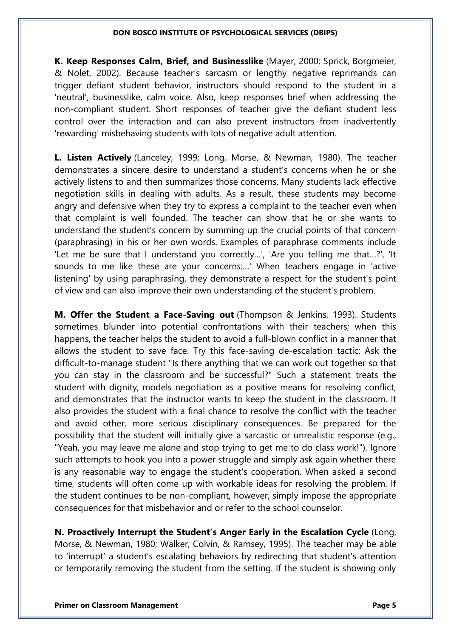**K. Keep Responses Calm, Brief, and Businesslike** (Mayer, 2000; Sprick, Borgmeier, & Nolet, 2002). Because teacher's sarcasm or lengthy negative reprimands can trigger defiant student behavior, instructors should respond to the student in a 'neutral', businesslike, calm voice. Also, keep responses brief when addressing the non-compliant student. Short responses of teacher give the defiant student less control over the interaction and can also prevent instructors from inadvertently 'rewarding' misbehaving students with lots of negative adult attention.

**L. Listen Actively** (Lanceley, 1999; Long, Morse, & Newman, 1980). The teacher demonstrates a sincere desire to understand a student's concerns when he or she actively listens to and then summarizes those concerns. Many students lack effective negotiation skills in dealing with adults. As a result, these students may become angry and defensive when they try to express a complaint to the teacher even when that complaint is well founded. The teacher can show that he or she wants to understand the student's concern by summing up the crucial points of that concern (paraphrasing) in his or her own words. Examples of paraphrase comments include 'Let me be sure that I understand you correctly…', 'Are you telling me that…?', 'It sounds to me like these are your concerns:…' When teachers engage in 'active listening' by using paraphrasing, they demonstrate a respect for the student's point of view and can also improve their own understanding of the student's problem.

**M. Offer the Student a Face-Saving out** (Thompson & Jenkins, 1993). Students sometimes blunder into potential confrontations with their teachers; when this happens, the teacher helps the student to avoid a full-blown conflict in a manner that allows the student to save face. Try this face-saving de-escalation tactic: Ask the difficult-to-manage student "Is there anything that we can work out together so that you can stay in the classroom and be successful?" Such a statement treats the student with dignity, models negotiation as a positive means for resolving conflict, and demonstrates that the instructor wants to keep the student in the classroom. It also provides the student with a final chance to resolve the conflict with the teacher and avoid other, more serious disciplinary consequences. Be prepared for the possibility that the student will initially give a sarcastic or unrealistic response (e.g., "Yeah, you may leave me alone and stop trying to get me to do class work!"). Ignore such attempts to hook you into a power struggle and simply ask again whether there is any reasonable way to engage the student's cooperation. When asked a second time, students will often come up with workable ideas for resolving the problem. If the student continues to be non-compliant, however, simply impose the appropriate consequences for that misbehavior and or refer to the school counselor.

**N. Proactively Interrupt the Student's Anger Early in the Escalation Cycle** (Long, Morse, & Newman, 1980; Walker, Colvin, & Ramsey, 1995). The teacher may be able to 'interrupt' a student's escalating behaviors by redirecting that student's attention or temporarily removing the student from the setting. If the student is showing only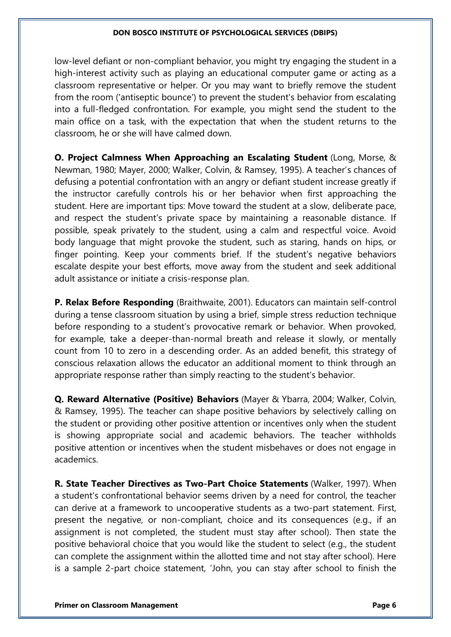low-level defiant or non-compliant behavior, you might try engaging the student in a high-interest activity such as playing an educational computer game or acting as a classroom representative or helper. Or you may want to briefly remove the student from the room ('antiseptic bounce') to prevent the student's behavior from escalating into a full-fledged confrontation. For example, you might send the student to the main office on a task, with the expectation that when the student returns to the classroom, he or she will have calmed down.

**O. Project Calmness When Approaching an Escalating Student** (Long, Morse, & Newman, 1980; Mayer, 2000; Walker, Colvin, & Ramsey, 1995). A teacher's chances of defusing a potential confrontation with an angry or defiant student increase greatly if the instructor carefully controls his or her behavior when first approaching the student. Here are important tips: Move toward the student at a slow, deliberate pace, and respect the student's private space by maintaining a reasonable distance. If possible, speak privately to the student, using a calm and respectful voice. Avoid body language that might provoke the student, such as staring, hands on hips, or finger pointing. Keep your comments brief. If the student's negative behaviors escalate despite your best efforts, move away from the student and seek additional adult assistance or initiate a crisis-response plan.

**P. Relax Before Responding** (Braithwaite, 2001). Educators can maintain self-control during a tense classroom situation by using a brief, simple stress reduction technique before responding to a student's provocative remark or behavior. When provoked, for example, take a deeper-than-normal breath and release it slowly, or mentally count from 10 to zero in a descending order. As an added benefit, this strategy of conscious relaxation allows the educator an additional moment to think through an appropriate response rather than simply reacting to the student's behavior.

**Q. Reward Alternative (Positive) Behaviors** (Mayer & Ybarra, 2004; Walker, Colvin, & Ramsey, 1995). The teacher can shape positive behaviors by selectively calling on the student or providing other positive attention or incentives only when the student is showing appropriate social and academic behaviors. The teacher withholds positive attention or incentives when the student misbehaves or does not engage in academics.

**R. State Teacher Directives as Two-Part Choice Statements** (Walker, 1997). When a student's confrontational behavior seems driven by a need for control, the teacher can derive at a framework to uncooperative students as a two-part statement. First, present the negative, or non-compliant, choice and its consequences (e.g., if an assignment is not completed, the student must stay after school). Then state the positive behavioral choice that you would like the student to select (e.g., the student can complete the assignment within the allotted time and not stay after school). Here is a sample 2-part choice statement, 'John, you can stay after school to finish the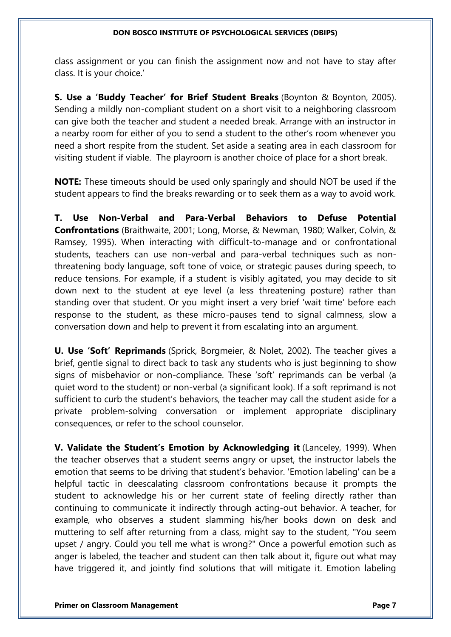class assignment or you can finish the assignment now and not have to stay after class. It is your choice.'

**S. Use a 'Buddy Teacher' for Brief Student Breaks** (Boynton & Boynton, 2005). Sending a mildly non-compliant student on a short visit to a neighboring classroom can give both the teacher and student a needed break. Arrange with an instructor in a nearby room for either of you to send a student to the other's room whenever you need a short respite from the student. Set aside a seating area in each classroom for visiting student if viable. The playroom is another choice of place for a short break.

**NOTE:** These timeouts should be used only sparingly and should NOT be used if the student appears to find the breaks rewarding or to seek them as a way to avoid work.

**T. Use Non-Verbal and Para-Verbal Behaviors to Defuse Potential Confrontations** (Braithwaite, 2001; Long, Morse, & Newman, 1980; Walker, Colvin, & Ramsey, 1995). When interacting with difficult-to-manage and or confrontational students, teachers can use non-verbal and para-verbal techniques such as nonthreatening body language, soft tone of voice, or strategic pauses during speech, to reduce tensions. For example, if a student is visibly agitated, you may decide to sit down next to the student at eye level (a less threatening posture) rather than standing over that student. Or you might insert a very brief 'wait time' before each response to the student, as these micro-pauses tend to signal calmness, slow a conversation down and help to prevent it from escalating into an argument.

**U. Use 'Soft' Reprimands** (Sprick, Borgmeier, & Nolet, 2002). The teacher gives a brief, gentle signal to direct back to task any students who is just beginning to show signs of misbehavior or non-compliance. These 'soft' reprimands can be verbal (a quiet word to the student) or non-verbal (a significant look). If a soft reprimand is not sufficient to curb the student's behaviors, the teacher may call the student aside for a private problem-solving conversation or implement appropriate disciplinary consequences, or refer to the school counselor.

**V. Validate the Student's Emotion by Acknowledging it** (Lanceley, 1999). When the teacher observes that a student seems angry or upset, the instructor labels the emotion that seems to be driving that student's behavior. 'Emotion labeling' can be a helpful tactic in deescalating classroom confrontations because it prompts the student to acknowledge his or her current state of feeling directly rather than continuing to communicate it indirectly through acting-out behavior. A teacher, for example, who observes a student slamming his/her books down on desk and muttering to self after returning from a class, might say to the student, "You seem upset / angry. Could you tell me what is wrong?" Once a powerful emotion such as anger is labeled, the teacher and student can then talk about it, figure out what may have triggered it, and jointly find solutions that will mitigate it. Emotion labeling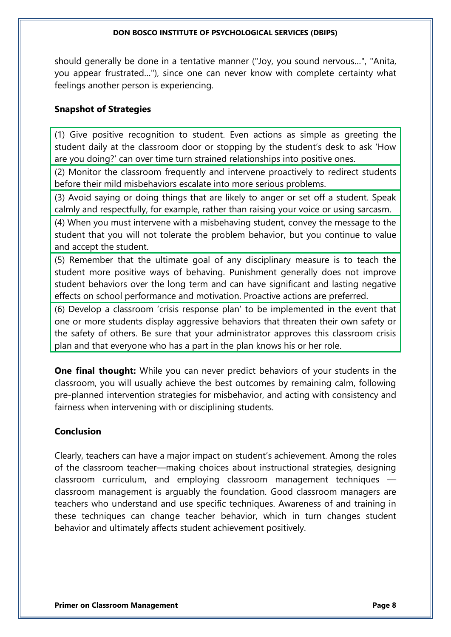should generally be done in a tentative manner ("Joy, you sound nervous…", "Anita, you appear frustrated…"), since one can never know with complete certainty what feelings another person is experiencing.

## **Snapshot of Strategies**

(1) Give positive recognition to student. Even actions as simple as greeting the student daily at the classroom door or stopping by the student's desk to ask 'How are you doing?' can over time turn strained relationships into positive ones.

(2) Monitor the classroom frequently and intervene proactively to redirect students before their mild misbehaviors escalate into more serious problems.

(3) Avoid saying or doing things that are likely to anger or set off a student. Speak calmly and respectfully, for example, rather than raising your voice or using sarcasm.

(4) When you must intervene with a misbehaving student, convey the message to the student that you will not tolerate the problem behavior, but you continue to value and accept the student.

(5) Remember that the ultimate goal of any disciplinary measure is to teach the student more positive ways of behaving. Punishment generally does not improve student behaviors over the long term and can have significant and lasting negative effects on school performance and motivation. Proactive actions are preferred.

(6) Develop a classroom 'crisis response plan' to be implemented in the event that one or more students display aggressive behaviors that threaten their own safety or the safety of others. Be sure that your administrator approves this classroom crisis plan and that everyone who has a part in the plan knows his or her role.

**One final thought:** While you can never predict behaviors of your students in the classroom, you will usually achieve the best outcomes by remaining calm, following pre-planned intervention strategies for misbehavior, and acting with consistency and fairness when intervening with or disciplining students.

## **Conclusion**

Clearly, teachers can have a major impact on student's achievement. Among the roles of the classroom teacher—making choices about instructional strategies, designing classroom curriculum, and employing classroom management techniques classroom management is arguably the foundation. Good classroom managers are teachers who understand and use specific techniques. Awareness of and training in these techniques can change teacher behavior, which in turn changes student behavior and ultimately affects student achievement positively.